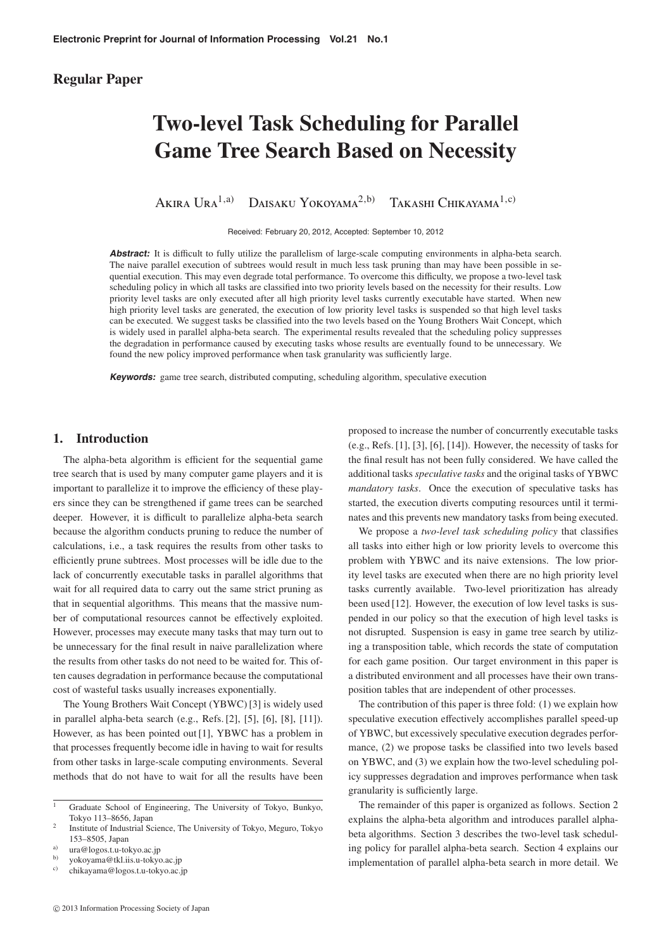# **Regular Paper**

# **Two-level Task Scheduling for Parallel Game Tree Search Based on Necessity**

AKIRA URA<sup>1,a)</sup> DAISAKU YOKOYAMA<sup>2,b)</sup> TAKASHI CHIKAYAMA<sup>1,c)</sup>

Received: February 20, 2012, Accepted: September 10, 2012

**Abstract:** It is difficult to fully utilize the parallelism of large-scale computing environments in alpha-beta search. The naive parallel execution of subtrees would result in much less task pruning than may have been possible in sequential execution. This may even degrade total performance. To overcome this difficulty, we propose a two-level task scheduling policy in which all tasks are classified into two priority levels based on the necessity for their results. Low priority level tasks are only executed after all high priority level tasks currently executable have started. When new high priority level tasks are generated, the execution of low priority level tasks is suspended so that high level tasks can be executed. We suggest tasks be classified into the two levels based on the Young Brothers Wait Concept, which is widely used in parallel alpha-beta search. The experimental results revealed that the scheduling policy suppresses the degradation in performance caused by executing tasks whose results are eventually found to be unnecessary. We found the new policy improved performance when task granularity was sufficiently large.

**Keywords:** game tree search, distributed computing, scheduling algorithm, speculative execution

# **1. Introduction**

The alpha-beta algorithm is efficient for the sequential game tree search that is used by many computer game players and it is important to parallelize it to improve the efficiency of these players since they can be strengthened if game trees can be searched deeper. However, it is difficult to parallelize alpha-beta search because the algorithm conducts pruning to reduce the number of calculations, i.e., a task requires the results from other tasks to efficiently prune subtrees. Most processes will be idle due to the lack of concurrently executable tasks in parallel algorithms that wait for all required data to carry out the same strict pruning as that in sequential algorithms. This means that the massive number of computational resources cannot be effectively exploited. However, processes may execute many tasks that may turn out to be unnecessary for the final result in naive parallelization where the results from other tasks do not need to be waited for. This often causes degradation in performance because the computational cost of wasteful tasks usually increases exponentially.

The Young Brothers Wait Concept (YBWC) [3] is widely used in parallel alpha-beta search (e.g., Refs. [2], [5], [6], [8], [11]). However, as has been pointed out [1], YBWC has a problem in that processes frequently become idle in having to wait for results from other tasks in large-scale computing environments. Several methods that do not have to wait for all the results have been

- b) yokoyama@tkl.iis.u-tokyo.ac.jp
- c) chikayama@logos.t.u-tokyo.ac.jp

proposed to increase the number of concurrently executable tasks (e.g., Refs. [1], [3], [6], [14]). However, the necessity of tasks for the final result has not been fully considered. We have called the additional tasks *speculative tasks* and the original tasks of YBWC *mandatory tasks*. Once the execution of speculative tasks has started, the execution diverts computing resources until it terminates and this prevents new mandatory tasks from being executed.

We propose a *two-level task scheduling policy* that classifies all tasks into either high or low priority levels to overcome this problem with YBWC and its naive extensions. The low priority level tasks are executed when there are no high priority level tasks currently available. Two-level prioritization has already been used [12]. However, the execution of low level tasks is suspended in our policy so that the execution of high level tasks is not disrupted. Suspension is easy in game tree search by utilizing a transposition table, which records the state of computation for each game position. Our target environment in this paper is a distributed environment and all processes have their own transposition tables that are independent of other processes.

The contribution of this paper is three fold: (1) we explain how speculative execution effectively accomplishes parallel speed-up of YBWC, but excessively speculative execution degrades performance, (2) we propose tasks be classified into two levels based on YBWC, and (3) we explain how the two-level scheduling policy suppresses degradation and improves performance when task granularity is sufficiently large.

The remainder of this paper is organized as follows. Section 2 explains the alpha-beta algorithm and introduces parallel alphabeta algorithms. Section 3 describes the two-level task scheduling policy for parallel alpha-beta search. Section 4 explains our implementation of parallel alpha-beta search in more detail. We

<sup>&</sup>lt;sup>1</sup> Graduate School of Engineering, The University of Tokyo, Bunkyo, Tokyo 113–8656, Japan

<sup>2</sup> Institute of Industrial Science, The University of Tokyo, Meguro, Tokyo 153–8505, Japan

<sup>&</sup>lt;sup>a)</sup> ura@logos.t.u-tokyo.ac.jp<br>b) vokovama@tkl ijs u tokyo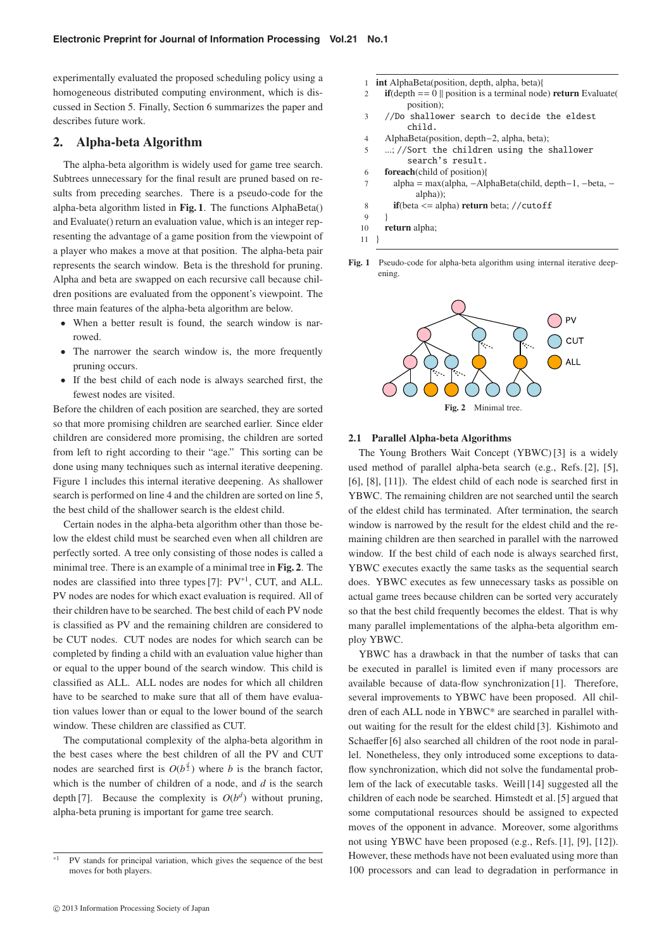experimentally evaluated the proposed scheduling policy using a homogeneous distributed computing environment, which is discussed in Section 5. Finally, Section 6 summarizes the paper and describes future work.

## **2. Alpha-beta Algorithm**

The alpha-beta algorithm is widely used for game tree search. Subtrees unnecessary for the final result are pruned based on results from preceding searches. There is a pseudo-code for the alpha-beta algorithm listed in **Fig. 1**. The functions AlphaBeta() and Evaluate() return an evaluation value, which is an integer representing the advantage of a game position from the viewpoint of a player who makes a move at that position. The alpha-beta pair represents the search window. Beta is the threshold for pruning. Alpha and beta are swapped on each recursive call because children positions are evaluated from the opponent's viewpoint. The three main features of the alpha-beta algorithm are below.

- When a better result is found, the search window is narrowed.
- The narrower the search window is, the more frequently pruning occurs.
- If the best child of each node is always searched first, the fewest nodes are visited.

Before the children of each position are searched, they are sorted so that more promising children are searched earlier. Since elder children are considered more promising, the children are sorted from left to right according to their "age." This sorting can be done using many techniques such as internal iterative deepening. Figure 1 includes this internal iterative deepening. As shallower search is performed on line 4 and the children are sorted on line 5, the best child of the shallower search is the eldest child.

Certain nodes in the alpha-beta algorithm other than those below the eldest child must be searched even when all children are perfectly sorted. A tree only consisting of those nodes is called a minimal tree. There is an example of a minimal tree in **Fig. 2**. The nodes are classified into three types [7]: PV\*1, CUT, and ALL. PV nodes are nodes for which exact evaluation is required. All of their children have to be searched. The best child of each PV node is classified as PV and the remaining children are considered to be CUT nodes. CUT nodes are nodes for which search can be completed by finding a child with an evaluation value higher than or equal to the upper bound of the search window. This child is classified as ALL. ALL nodes are nodes for which all children have to be searched to make sure that all of them have evaluation values lower than or equal to the lower bound of the search window. These children are classified as CUT.

The computational complexity of the alpha-beta algorithm in the best cases where the best children of all the PV and CUT nodes are searched first is  $O(b^{\frac{d}{2}})$  where *b* is the branch factor, which is the number of children of a node, and *d* is the search depth [7]. Because the complexity is  $O(b^d)$  without pruning, alpha-beta pruning is important for game tree search.

#### 1 **int** AlphaBeta(position, depth, alpha, beta){

- 2 **if**(depth == 0 || position is a terminal node) **return** Evaluate( position);
- 3 //Do shallower search to decide the eldest child.
- 4 AlphaBeta(position, depth−2, alpha, beta);
- 5 ...; //Sort the children using the shallower search's result.
- 6 **foreach**(child of position){
- 7 alpha = max(alpha, −AlphaBeta(child, depth−1, −beta, − alpha));
- <sup>8</sup> **if**(beta <<sup>=</sup> alpha) **return** beta; //cutoff
- $\overline{9}$
- 10 **return** alpha;
- 11 }

Fig. 1 Pseudo-code for alpha-beta algorithm using internal iterative deepening.



#### **2.1 Parallel Alpha-beta Algorithms**

The Young Brothers Wait Concept (YBWC) [3] is a widely used method of parallel alpha-beta search (e.g., Refs. [2], [5], [6], [8], [11]). The eldest child of each node is searched first in YBWC. The remaining children are not searched until the search of the eldest child has terminated. After termination, the search window is narrowed by the result for the eldest child and the remaining children are then searched in parallel with the narrowed window. If the best child of each node is always searched first, YBWC executes exactly the same tasks as the sequential search does. YBWC executes as few unnecessary tasks as possible on actual game trees because children can be sorted very accurately so that the best child frequently becomes the eldest. That is why many parallel implementations of the alpha-beta algorithm employ YBWC.

YBWC has a drawback in that the number of tasks that can be executed in parallel is limited even if many processors are available because of data-flow synchronization [1]. Therefore, several improvements to YBWC have been proposed. All children of each ALL node in YBWC\* are searched in parallel without waiting for the result for the eldest child [3]. Kishimoto and Schaeffer [6] also searched all children of the root node in parallel. Nonetheless, they only introduced some exceptions to dataflow synchronization, which did not solve the fundamental problem of the lack of executable tasks. Weill [14] suggested all the children of each node be searched. Himstedt et al. [5] argued that some computational resources should be assigned to expected moves of the opponent in advance. Moreover, some algorithms not using YBWC have been proposed (e.g., Refs. [1], [9], [12]). However, these methods have not been evaluated using more than 100 processors and can lead to degradation in performance in

PV stands for principal variation, which gives the sequence of the best moves for both players.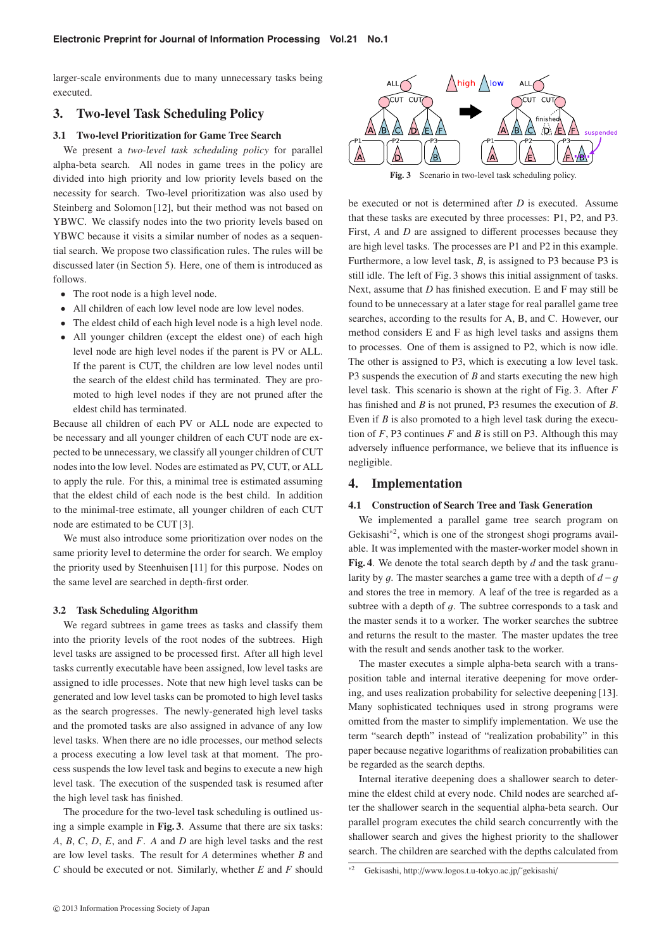larger-scale environments due to many unnecessary tasks being executed.

## **3. Two-level Task Scheduling Policy**

#### **3.1 Two-level Prioritization for Game Tree Search**

We present a *two-level task scheduling policy* for parallel alpha-beta search. All nodes in game trees in the policy are divided into high priority and low priority levels based on the necessity for search. Two-level prioritization was also used by Steinberg and Solomon [12], but their method was not based on YBWC. We classify nodes into the two priority levels based on YBWC because it visits a similar number of nodes as a sequential search. We propose two classification rules. The rules will be discussed later (in Section 5). Here, one of them is introduced as follows.

- The root node is a high level node.
- All children of each low level node are low level nodes.
- The eldest child of each high level node is a high level node.
- All younger children (except the eldest one) of each high level node are high level nodes if the parent is PV or ALL. If the parent is CUT, the children are low level nodes until the search of the eldest child has terminated. They are promoted to high level nodes if they are not pruned after the eldest child has terminated.

Because all children of each PV or ALL node are expected to be necessary and all younger children of each CUT node are expected to be unnecessary, we classify all younger children of CUT nodes into the low level. Nodes are estimated as PV, CUT, or ALL to apply the rule. For this, a minimal tree is estimated assuming that the eldest child of each node is the best child. In addition to the minimal-tree estimate, all younger children of each CUT node are estimated to be CUT [3].

We must also introduce some prioritization over nodes on the same priority level to determine the order for search. We employ the priority used by Steenhuisen [11] for this purpose. Nodes on the same level are searched in depth-first order.

## **3.2 Task Scheduling Algorithm**

We regard subtrees in game trees as tasks and classify them into the priority levels of the root nodes of the subtrees. High level tasks are assigned to be processed first. After all high level tasks currently executable have been assigned, low level tasks are assigned to idle processes. Note that new high level tasks can be generated and low level tasks can be promoted to high level tasks as the search progresses. The newly-generated high level tasks and the promoted tasks are also assigned in advance of any low level tasks. When there are no idle processes, our method selects a process executing a low level task at that moment. The process suspends the low level task and begins to execute a new high level task. The execution of the suspended task is resumed after the high level task has finished.

The procedure for the two-level task scheduling is outlined using a simple example in **Fig. 3**. Assume that there are six tasks: *A*, *B*, *C*, *D*, *E*, and *F*. *A* and *D* are high level tasks and the rest are low level tasks. The result for *A* determines whether *B* and *C* should be executed or not. Similarly, whether *E* and *F* should



**Fig. 3** Scenario in two-level task scheduling policy.

be executed or not is determined after *D* is executed. Assume that these tasks are executed by three processes: P1, P2, and P3. First, *A* and *D* are assigned to different processes because they are high level tasks. The processes are P1 and P2 in this example. Furthermore, a low level task, *B*, is assigned to P3 because P3 is still idle. The left of Fig. 3 shows this initial assignment of tasks. Next, assume that *D* has finished execution. E and F may still be found to be unnecessary at a later stage for real parallel game tree searches, according to the results for A, B, and C. However, our method considers E and F as high level tasks and assigns them to processes. One of them is assigned to P2, which is now idle. The other is assigned to P3, which is executing a low level task. P3 suspends the execution of *B* and starts executing the new high level task. This scenario is shown at the right of Fig. 3. After *F* has finished and *B* is not pruned, P3 resumes the execution of *B*. Even if *B* is also promoted to a high level task during the execution of  $F$ , P3 continues  $F$  and  $B$  is still on P3. Although this may adversely influence performance, we believe that its influence is negligible.

### **4. Implementation**

#### **4.1 Construction of Search Tree and Task Generation**

We implemented a parallel game tree search program on Gekisashi\*2, which is one of the strongest shogi programs available. It was implemented with the master-worker model shown in **Fig. 4**. We denote the total search depth by *d* and the task granularity by g. The master searches a game tree with a depth of  $d - g$ and stores the tree in memory. A leaf of the tree is regarded as a subtree with a depth of  $q$ . The subtree corresponds to a task and the master sends it to a worker. The worker searches the subtree and returns the result to the master. The master updates the tree with the result and sends another task to the worker.

The master executes a simple alpha-beta search with a transposition table and internal iterative deepening for move ordering, and uses realization probability for selective deepening [13]. Many sophisticated techniques used in strong programs were omitted from the master to simplify implementation. We use the term "search depth" instead of "realization probability" in this paper because negative logarithms of realization probabilities can be regarded as the search depths.

Internal iterative deepening does a shallower search to determine the eldest child at every node. Child nodes are searched after the shallower search in the sequential alpha-beta search. Our parallel program executes the child search concurrently with the shallower search and gives the highest priority to the shallower search. The children are searched with the depths calculated from

<sup>\*2</sup> Gekisashi, http://www.logos.t.u-tokyo.ac.jp/˜gekisashi/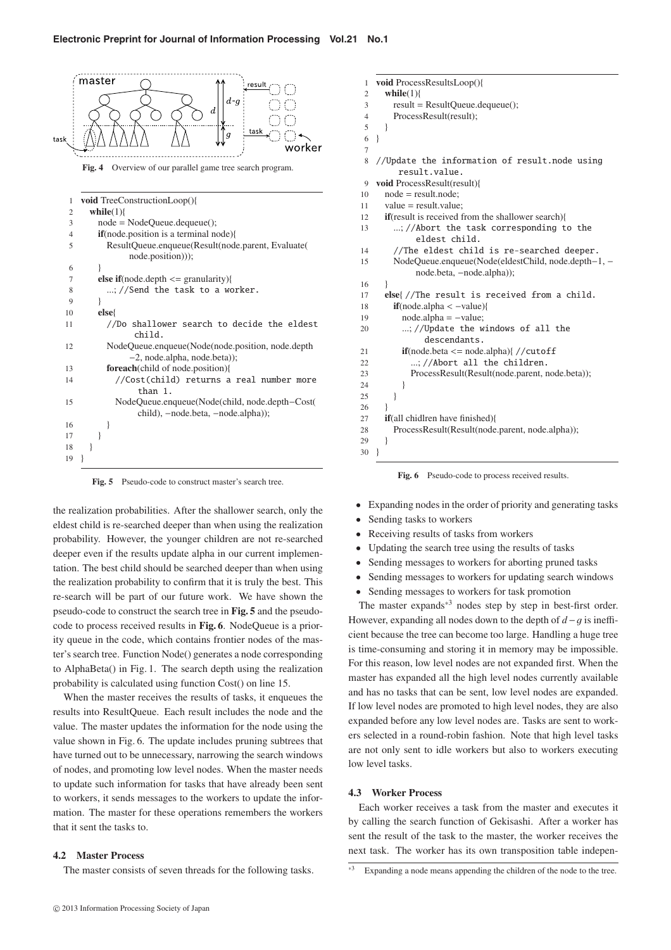

**Fig. 4** Overview of our parallel game tree search program.

| 1              | <b>void</b> TreeConstructionLoop(){                                                  |
|----------------|--------------------------------------------------------------------------------------|
| $\overline{c}$ | $while(1)$ {                                                                         |
| 3              | $node = NodeQueue.dequeue();$                                                        |
| $\overline{4}$ | <b>if</b> (node.position is a terminal node){                                        |
| 5              | ResultQueue.enqueue(Result(node.parent, Evaluate(                                    |
|                | node.position));                                                                     |
| 6              |                                                                                      |
| 7              | <b>else if</b> (node.depth $\leq$ granularity){                                      |
| 8              | ;//Send the task to a worker.                                                        |
| 9              | ∤                                                                                    |
| 10             | else                                                                                 |
| 11             | //Do shallower search to decide the eldest<br>child.                                 |
| 12             | NodeQueue.enqueue(Node(node.position, node.depth<br>$-2$ , node.alpha, node.beta));  |
| 13             | foreach(child of node.position){                                                     |
| 14             | //Cost(child) returns a real number more<br>than 1.                                  |
| 15             | NodeQueue.enqueue(Node(child, node.depth-Cost(<br>child), -node.beta, -node.alpha)); |
| 16             |                                                                                      |
| 17             |                                                                                      |
| 18             |                                                                                      |
| 19             |                                                                                      |
|                |                                                                                      |

**Fig. 5** Pseudo-code to construct master's search tree.

the realization probabilities. After the shallower search, only the eldest child is re-searched deeper than when using the realization probability. However, the younger children are not re-searched deeper even if the results update alpha in our current implementation. The best child should be searched deeper than when using the realization probability to confirm that it is truly the best. This re-search will be part of our future work. We have shown the pseudo-code to construct the search tree in **Fig. 5** and the pseudocode to process received results in **Fig. 6**. NodeQueue is a priority queue in the code, which contains frontier nodes of the master's search tree. Function Node() generates a node corresponding to AlphaBeta() in Fig. 1. The search depth using the realization probability is calculated using function Cost() on line 15.

When the master receives the results of tasks, it enqueues the results into ResultQueue. Each result includes the node and the value. The master updates the information for the node using the value shown in Fig. 6. The update includes pruning subtrees that have turned out to be unnecessary, narrowing the search windows of nodes, and promoting low level nodes. When the master needs to update such information for tasks that have already been sent to workers, it sends messages to the workers to update the information. The master for these operations remembers the workers that it sent the tasks to.

## **4.2 Master Process**

The master consists of seven threads for the following tasks.

| 1              | void ProcessResultsLoop(){                                                                 |
|----------------|--------------------------------------------------------------------------------------------|
| 2              | $while(1)$ {                                                                               |
| 3              | $result = ResultQueue.dequeue();$                                                          |
| $\overline{4}$ | ProcessResult(result);                                                                     |
| 5              | ł                                                                                          |
| 6              | ł                                                                                          |
| $\overline{7}$ |                                                                                            |
| 8              | //Update the information of result.node using<br>result.value.                             |
| 9              | void ProcessResult(result){                                                                |
| 10             | $node = resultnode;$                                                                       |
| 11             | $value = result.value;$                                                                    |
| 12             | <b>if</b> (result is received from the shallower search){                                  |
| 13             | ; //Abort the task corresponding to the                                                    |
|                | eldest child.                                                                              |
| 14             | //The eldest child is re-searched deeper.                                                  |
| 15             | $NodeQueue.\nendueue(Node(eldestChild, node.depth-1, -$                                    |
|                | node.beta, -node.alpha));                                                                  |
| 16             | ł                                                                                          |
| 17             | else{//The result is received from a child.                                                |
| 18             | $if (node.alpha < -value)$                                                                 |
| 19             | $node.alpha = -value;$                                                                     |
| 20             | ;//Update the windows of all the                                                           |
|                | descendants.                                                                               |
| 21             | $if (node. beta <= node. alpha) { // cutoff}$                                              |
| 22             | ; //Abort all the children.                                                                |
| 23             | ProcessResult(Result(node.parent, node.beta));                                             |
| 24             | ∤                                                                                          |
| 25             | ∤                                                                                          |
| 26<br>27       | ł                                                                                          |
| 28             | <b>if</b> (all chidlren have finished){<br>ProcessResult(Result(node.parent, node.alpha)); |
| 29             | }                                                                                          |
| 30             |                                                                                            |
|                |                                                                                            |

Fig. 6 Pseudo-code to process received results.

- Expanding nodes in the order of priority and generating tasks
- Sending tasks to workers
- Receiving results of tasks from workers
- Updating the search tree using the results of tasks
- Sending messages to workers for aborting pruned tasks
- Sending messages to workers for updating search windows
- Sending messages to workers for task promotion

The master expands<sup>\*3</sup> nodes step by step in best-first order. However, expanding all nodes down to the depth of *<sup>d</sup>*−g is inefficient because the tree can become too large. Handling a huge tree is time-consuming and storing it in memory may be impossible. For this reason, low level nodes are not expanded first. When the master has expanded all the high level nodes currently available and has no tasks that can be sent, low level nodes are expanded. If low level nodes are promoted to high level nodes, they are also expanded before any low level nodes are. Tasks are sent to workers selected in a round-robin fashion. Note that high level tasks are not only sent to idle workers but also to workers executing low level tasks.

## **4.3 Worker Process**

Each worker receives a task from the master and executes it by calling the search function of Gekisashi. After a worker has sent the result of the task to the master, the worker receives the next task. The worker has its own transposition table indepen-

Expanding a node means appending the children of the node to the tree.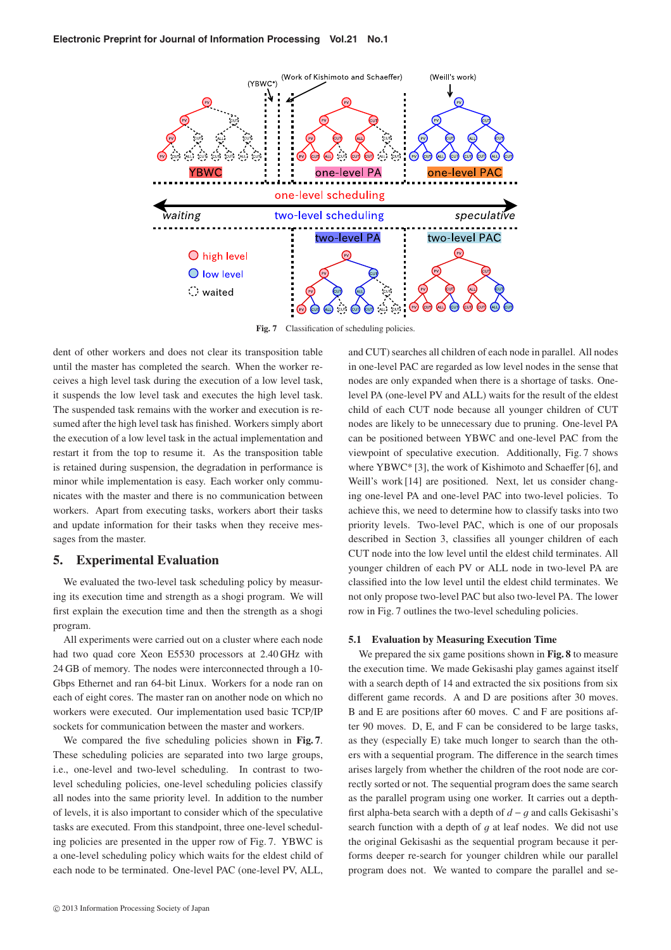

Fig. 7 Classification of scheduling policies.

dent of other workers and does not clear its transposition table until the master has completed the search. When the worker receives a high level task during the execution of a low level task, it suspends the low level task and executes the high level task. The suspended task remains with the worker and execution is resumed after the high level task has finished. Workers simply abort the execution of a low level task in the actual implementation and restart it from the top to resume it. As the transposition table is retained during suspension, the degradation in performance is minor while implementation is easy. Each worker only communicates with the master and there is no communication between workers. Apart from executing tasks, workers abort their tasks and update information for their tasks when they receive messages from the master.

# **5. Experimental Evaluation**

We evaluated the two-level task scheduling policy by measuring its execution time and strength as a shogi program. We will first explain the execution time and then the strength as a shogi program.

All experiments were carried out on a cluster where each node had two quad core Xeon E5530 processors at 2.40 GHz with 24 GB of memory. The nodes were interconnected through a 10- Gbps Ethernet and ran 64-bit Linux. Workers for a node ran on each of eight cores. The master ran on another node on which no workers were executed. Our implementation used basic TCP/IP sockets for communication between the master and workers.

We compared the five scheduling policies shown in **Fig. 7**. These scheduling policies are separated into two large groups, i.e., one-level and two-level scheduling. In contrast to twolevel scheduling policies, one-level scheduling policies classify all nodes into the same priority level. In addition to the number of levels, it is also important to consider which of the speculative tasks are executed. From this standpoint, three one-level scheduling policies are presented in the upper row of Fig. 7. YBWC is a one-level scheduling policy which waits for the eldest child of each node to be terminated. One-level PAC (one-level PV, ALL, and CUT) searches all children of each node in parallel. All nodes in one-level PAC are regarded as low level nodes in the sense that nodes are only expanded when there is a shortage of tasks. Onelevel PA (one-level PV and ALL) waits for the result of the eldest child of each CUT node because all younger children of CUT nodes are likely to be unnecessary due to pruning. One-level PA can be positioned between YBWC and one-level PAC from the viewpoint of speculative execution. Additionally, Fig. 7 shows where YBWC\* [3], the work of Kishimoto and Schaeffer [6], and Weill's work [14] are positioned. Next, let us consider changing one-level PA and one-level PAC into two-level policies. To achieve this, we need to determine how to classify tasks into two priority levels. Two-level PAC, which is one of our proposals described in Section 3, classifies all younger children of each CUT node into the low level until the eldest child terminates. All younger children of each PV or ALL node in two-level PA are classified into the low level until the eldest child terminates. We not only propose two-level PAC but also two-level PA. The lower row in Fig. 7 outlines the two-level scheduling policies.

## **5.1 Evaluation by Measuring Execution Time**

We prepared the six game positions shown in **Fig. 8** to measure the execution time. We made Gekisashi play games against itself with a search depth of 14 and extracted the six positions from six different game records. A and D are positions after 30 moves. B and E are positions after 60 moves. C and F are positions after 90 moves. D, E, and F can be considered to be large tasks, as they (especially E) take much longer to search than the others with a sequential program. The difference in the search times arises largely from whether the children of the root node are correctly sorted or not. The sequential program does the same search as the parallel program using one worker. It carries out a depthfirst alpha-beta search with a depth of  $d - g$  and calls Gekisashi's search function with a depth of  $q$  at leaf nodes. We did not use the original Gekisashi as the sequential program because it performs deeper re-search for younger children while our parallel program does not. We wanted to compare the parallel and se-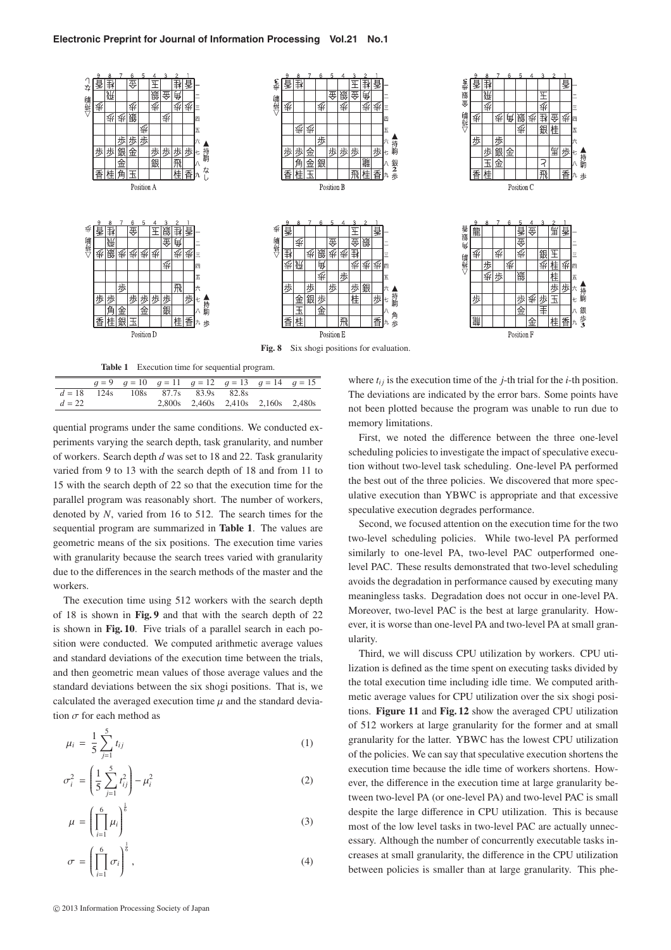

**Fig. 8** Six shogi positions for evaluation.

**Table 1** Execution time for sequential program.

|               | $q = 9$ $q = 10$ $q = 11$ $q = 12$ $q = 13$ $q = 14$ $q = 15$ |  |                                    |  |
|---------------|---------------------------------------------------------------|--|------------------------------------|--|
| $d = 18$ 124s | 108s 87.7s 83.9s 82.8s                                        |  |                                    |  |
| $d = 22$      |                                                               |  | 2,800s 2,460s 2,410s 2,160s 2,480s |  |

quential programs under the same conditions. We conducted experiments varying the search depth, task granularity, and number of workers. Search depth *d* was set to 18 and 22. Task granularity varied from 9 to 13 with the search depth of 18 and from 11 to 15 with the search depth of 22 so that the execution time for the parallel program was reasonably short. The number of workers, denoted by *N*, varied from 16 to 512. The search times for the sequential program are summarized in **Table 1**. The values are geometric means of the six positions. The execution time varies with granularity because the search trees varied with granularity due to the differences in the search methods of the master and the workers.

The execution time using 512 workers with the search depth of 18 is shown in **Fig. 9** and that with the search depth of 22 is shown in **Fig. 10**. Five trials of a parallel search in each position were conducted. We computed arithmetic average values and standard deviations of the execution time between the trials, and then geometric mean values of those average values and the standard deviations between the six shogi positions. That is, we calculated the averaged execution time  $\mu$  and the standard deviation  $\sigma$  for each method as

$$
\mu_i = \frac{1}{5} \sum_{j=1}^{5} t_{ij} \tag{1}
$$

$$
\sigma_i^2 = \left(\frac{1}{5}\sum_{j=1}^5 t_{ij}^2\right) - \mu_i^2
$$
 (2)

$$
\mu = \left(\prod_{i=1}^{6} \mu_i\right)^{\frac{1}{6}} \tag{3}
$$

$$
\sigma = \left(\prod_{i=1}^{6} \sigma_i\right)^{\frac{1}{6}},\tag{4}
$$

where  $t_{ij}$  is the execution time of the *j*-th trial for the *j*-th position. The deviations are indicated by the error bars. Some points have not been plotted because the program was unable to run due to memory limitations.

First, we noted the difference between the three one-level scheduling policies to investigate the impact of speculative execution without two-level task scheduling. One-level PA performed the best out of the three policies. We discovered that more speculative execution than YBWC is appropriate and that excessive speculative execution degrades performance.

Second, we focused attention on the execution time for the two two-level scheduling policies. While two-level PA performed similarly to one-level PA, two-level PAC outperformed onelevel PAC. These results demonstrated that two-level scheduling avoids the degradation in performance caused by executing many meaningless tasks. Degradation does not occur in one-level PA. Moreover, two-level PAC is the best at large granularity. However, it is worse than one-level PA and two-level PA at small granularity.

Third, we will discuss CPU utilization by workers. CPU utilization is defined as the time spent on executing tasks divided by the total execution time including idle time. We computed arithmetic average values for CPU utilization over the six shogi positions. **Figure 11** and **Fig. 12** show the averaged CPU utilization of 512 workers at large granularity for the former and at small granularity for the latter. YBWC has the lowest CPU utilization of the policies. We can say that speculative execution shortens the execution time because the idle time of workers shortens. However, the difference in the execution time at large granularity between two-level PA (or one-level PA) and two-level PAC is small despite the large difference in CPU utilization. This is because most of the low level tasks in two-level PAC are actually unnecessary. Although the number of concurrently executable tasks increases at small granularity, the difference in the CPU utilization between policies is smaller than at large granularity. This phe-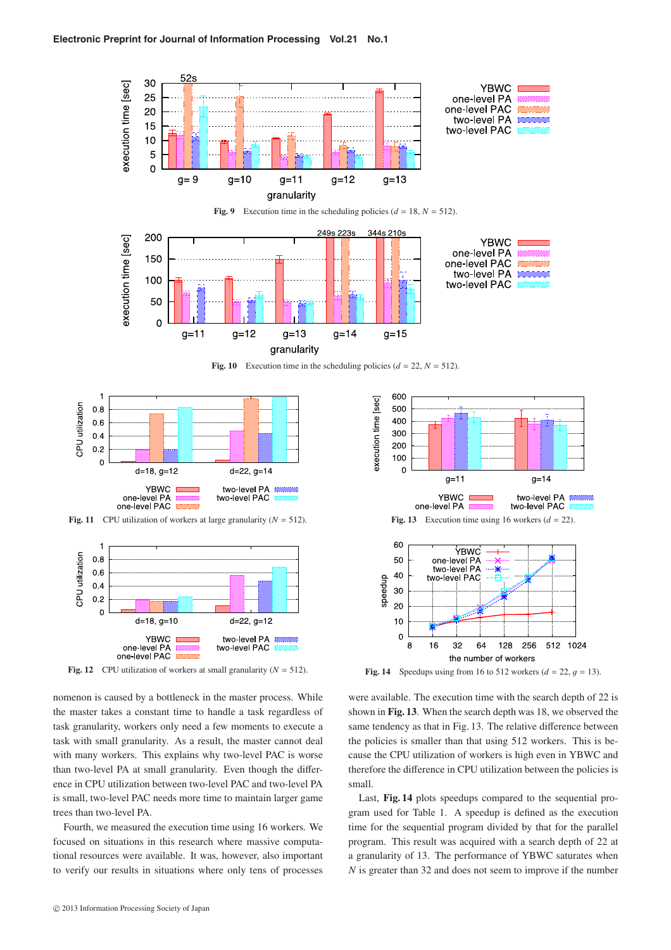

**Fig. 9** Execution time in the scheduling policies ( $d = 18$ ,  $N = 512$ ).



**Fig. 10** Execution time in the scheduling policies ( $d = 22$ ,  $N = 512$ ).







**Fig. 12** CPU utilization of workers at small granularity (*N* = 512).

nomenon is caused by a bottleneck in the master process. While the master takes a constant time to handle a task regardless of task granularity, workers only need a few moments to execute a task with small granularity. As a result, the master cannot deal with many workers. This explains why two-level PAC is worse than two-level PA at small granularity. Even though the difference in CPU utilization between two-level PAC and two-level PA is small, two-level PAC needs more time to maintain larger game trees than two-level PA.

Fourth, we measured the execution time using 16 workers. We focused on situations in this research where massive computational resources were available. It was, however, also important to verify our results in situations where only tens of processes



**Fig. 14** Speedups using from 16 to 512 workers  $(d = 22, g = 13)$ .

were available. The execution time with the search depth of 22 is shown in **Fig. 13**. When the search depth was 18, we observed the same tendency as that in Fig. 13. The relative difference between the policies is smaller than that using 512 workers. This is because the CPU utilization of workers is high even in YBWC and therefore the difference in CPU utilization between the policies is small.

Last, **Fig. 14** plots speedups compared to the sequential program used for Table 1. A speedup is defined as the execution time for the sequential program divided by that for the parallel program. This result was acquired with a search depth of 22 at a granularity of 13. The performance of YBWC saturates when *N* is greater than 32 and does not seem to improve if the number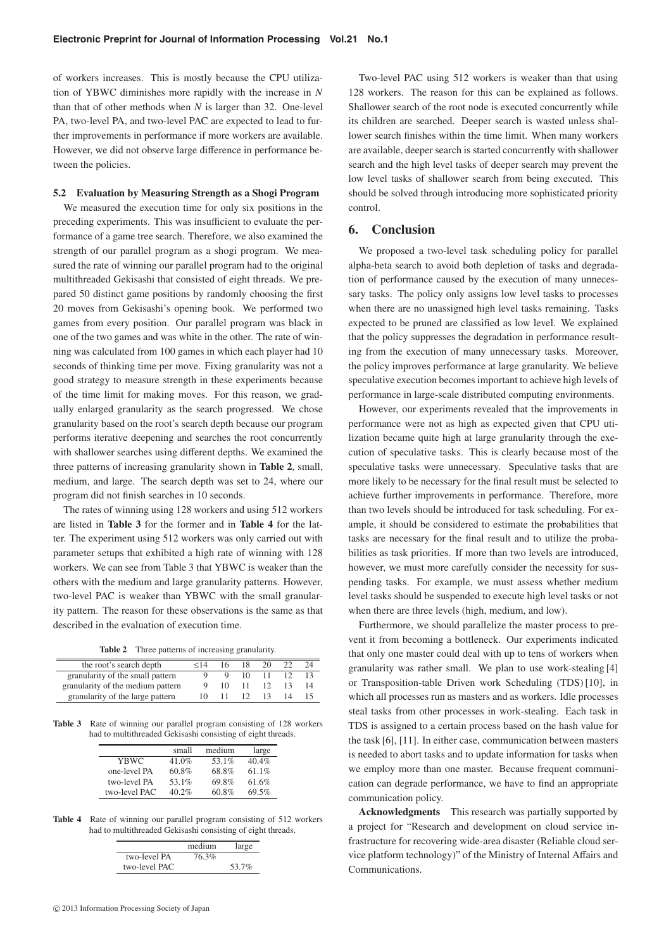of workers increases. This is mostly because the CPU utilization of YBWC diminishes more rapidly with the increase in *N* than that of other methods when *N* is larger than 32. One-level PA, two-level PA, and two-level PAC are expected to lead to further improvements in performance if more workers are available. However, we did not observe large difference in performance between the policies.

## **5.2 Evaluation by Measuring Strength as a Shogi Program**

We measured the execution time for only six positions in the preceding experiments. This was insufficient to evaluate the performance of a game tree search. Therefore, we also examined the strength of our parallel program as a shogi program. We measured the rate of winning our parallel program had to the original multithreaded Gekisashi that consisted of eight threads. We prepared 50 distinct game positions by randomly choosing the first 20 moves from Gekisashi's opening book. We performed two games from every position. Our parallel program was black in one of the two games and was white in the other. The rate of winning was calculated from 100 games in which each player had 10 seconds of thinking time per move. Fixing granularity was not a good strategy to measure strength in these experiments because of the time limit for making moves. For this reason, we gradually enlarged granularity as the search progressed. We chose granularity based on the root's search depth because our program performs iterative deepening and searches the root concurrently with shallower searches using different depths. We examined the three patterns of increasing granularity shown in **Table 2**, small, medium, and large. The search depth was set to 24, where our program did not finish searches in 10 seconds.

The rates of winning using 128 workers and using 512 workers are listed in **Table 3** for the former and in **Table 4** for the latter. The experiment using 512 workers was only carried out with parameter setups that exhibited a high rate of winning with 128 workers. We can see from Table 3 that YBWC is weaker than the others with the medium and large granularity patterns. However, two-level PAC is weaker than YBWC with the small granularity pattern. The reason for these observations is the same as that described in the evaluation of execution time.

**Table 2** Three patterns of increasing granularity.

| the root's search depth           | $<$ 14 | 16 | 18 | 20 |    | 24 |
|-----------------------------------|--------|----|----|----|----|----|
| granularity of the small pattern  |        |    | 10 |    |    | 13 |
| granularity of the medium pattern |        | 10 |    |    |    |    |
| granularity of the large pattern  | 10     |    | 12 | 13 | 14 |    |

**Table 3** Rate of winning our parallel program consisting of 128 workers had to multithreaded Gekisashi consisting of eight threads.

|               | small    | medium | large    |
|---------------|----------|--------|----------|
| YBWC          | 41.0%    | 53.1%  | $40.4\%$ |
| one-level PA  | 60.8%    | 68.8%  | $61.1\%$ |
| two-level PA  | 53.1%    | 69.8%  | 61.6%    |
| two-level PAC | $40.2\%$ | 60.8%  | 69.5%    |

**Table 4** Rate of winning our parallel program consisting of 512 workers had to multithreaded Gekisashi consisting of eight threads.

|               | medium | large |
|---------------|--------|-------|
| two-level PA  | 76.3%  |       |
| two-level PAC |        | 53.7% |

Two-level PAC using 512 workers is weaker than that using 128 workers. The reason for this can be explained as follows. Shallower search of the root node is executed concurrently while its children are searched. Deeper search is wasted unless shallower search finishes within the time limit. When many workers are available, deeper search is started concurrently with shallower search and the high level tasks of deeper search may prevent the low level tasks of shallower search from being executed. This should be solved through introducing more sophisticated priority control.

## **6. Conclusion**

We proposed a two-level task scheduling policy for parallel alpha-beta search to avoid both depletion of tasks and degradation of performance caused by the execution of many unnecessary tasks. The policy only assigns low level tasks to processes when there are no unassigned high level tasks remaining. Tasks expected to be pruned are classified as low level. We explained that the policy suppresses the degradation in performance resulting from the execution of many unnecessary tasks. Moreover, the policy improves performance at large granularity. We believe speculative execution becomes important to achieve high levels of performance in large-scale distributed computing environments.

However, our experiments revealed that the improvements in performance were not as high as expected given that CPU utilization became quite high at large granularity through the execution of speculative tasks. This is clearly because most of the speculative tasks were unnecessary. Speculative tasks that are more likely to be necessary for the final result must be selected to achieve further improvements in performance. Therefore, more than two levels should be introduced for task scheduling. For example, it should be considered to estimate the probabilities that tasks are necessary for the final result and to utilize the probabilities as task priorities. If more than two levels are introduced, however, we must more carefully consider the necessity for suspending tasks. For example, we must assess whether medium level tasks should be suspended to execute high level tasks or not when there are three levels (high, medium, and low).

Furthermore, we should parallelize the master process to prevent it from becoming a bottleneck. Our experiments indicated that only one master could deal with up to tens of workers when granularity was rather small. We plan to use work-stealing [4] or Transposition-table Driven work Scheduling (TDS) [10], in which all processes run as masters and as workers. Idle processes steal tasks from other processes in work-stealing. Each task in TDS is assigned to a certain process based on the hash value for the task [6], [11]. In either case, communication between masters is needed to abort tasks and to update information for tasks when we employ more than one master. Because frequent communication can degrade performance, we have to find an appropriate communication policy.

**Acknowledgments** This research was partially supported by a project for "Research and development on cloud service infrastructure for recovering wide-area disaster (Reliable cloud service platform technology)" of the Ministry of Internal Affairs and Communications.